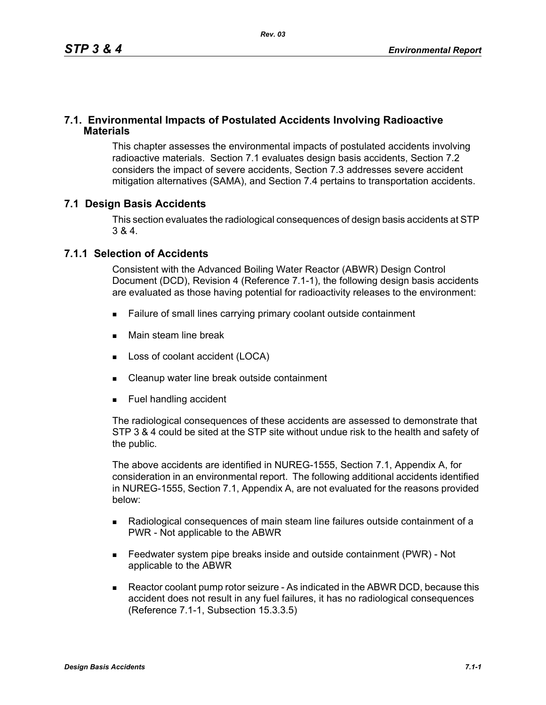### **7.1. Environmental Impacts of Postulated Accidents Involving Radioactive Materials**

This chapter assesses the environmental impacts of postulated accidents involving radioactive materials. Section 7.1 evaluates design basis accidents, Section 7.2 considers the impact of severe accidents, Section 7.3 addresses severe accident mitigation alternatives (SAMA), and Section 7.4 pertains to transportation accidents.

## **7.1 Design Basis Accidents**

This section evaluates the radiological consequences of design basis accidents at STP 3 & 4.

#### **7.1.1 Selection of Accidents**

Consistent with the Advanced Boiling Water Reactor (ABWR) Design Control Document (DCD), Revision 4 (Reference 7.1-1), the following design basis accidents are evaluated as those having potential for radioactivity releases to the environment:

- Failure of small lines carrying primary coolant outside containment
- **Main steam line break**
- Loss of coolant accident (LOCA)
- Cleanup water line break outside containment
- **Fuel handling accident**

The radiological consequences of these accidents are assessed to demonstrate that STP 3 & 4 could be sited at the STP site without undue risk to the health and safety of the public.

The above accidents are identified in NUREG-1555, Section 7.1, Appendix A, for consideration in an environmental report. The following additional accidents identified in NUREG-1555, Section 7.1, Appendix A, are not evaluated for the reasons provided below:

- Radiological consequences of main steam line failures outside containment of a PWR - Not applicable to the ABWR
- Feedwater system pipe breaks inside and outside containment (PWR) Not applicable to the ABWR
- Reactor coolant pump rotor seizure As indicated in the ABWR DCD, because this accident does not result in any fuel failures, it has no radiological consequences (Reference 7.1-1, Subsection 15.3.3.5)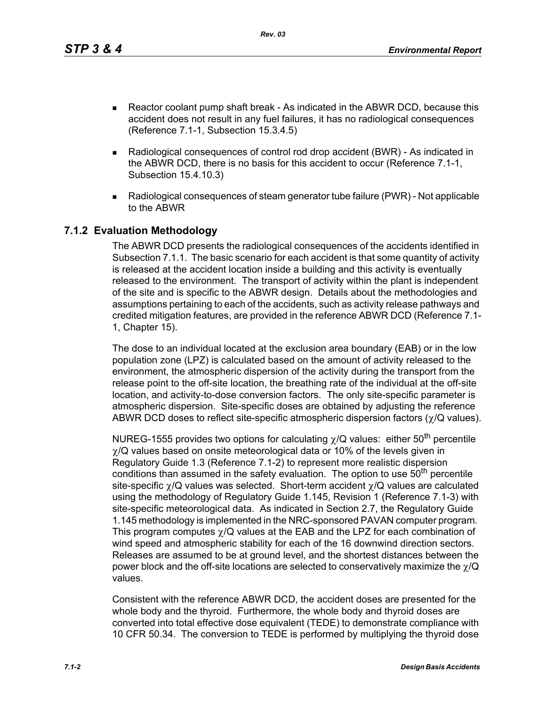*Rev. 03*

- Reactor coolant pump shaft break As indicated in the ABWR DCD, because this accident does not result in any fuel failures, it has no radiological consequences (Reference 7.1-1, Subsection 15.3.4.5)
- Radiological consequences of control rod drop accident (BWR) As indicated in the ABWR DCD, there is no basis for this accident to occur (Reference 7.1-1, Subsection 15.4.10.3)
- Radiological consequences of steam generator tube failure (PWR) Not applicable to the ABWR

## **7.1.2 Evaluation Methodology**

The ABWR DCD presents the radiological consequences of the accidents identified in Subsection 7.1.1. The basic scenario for each accident is that some quantity of activity is released at the accident location inside a building and this activity is eventually released to the environment. The transport of activity within the plant is independent of the site and is specific to the ABWR design. Details about the methodologies and assumptions pertaining to each of the accidents, such as activity release pathways and credited mitigation features, are provided in the reference ABWR DCD (Reference 7.1- 1, Chapter 15).

The dose to an individual located at the exclusion area boundary (EAB) or in the low population zone (LPZ) is calculated based on the amount of activity released to the environment, the atmospheric dispersion of the activity during the transport from the release point to the off-site location, the breathing rate of the individual at the off-site location, and activity-to-dose conversion factors. The only site-specific parameter is atmospheric dispersion. Site-specific doses are obtained by adjusting the reference ABWR DCD doses to reflect site-specific atmospheric dispersion factors ( $\gamma$ /Q values).

NUREG-1555 provides two options for calculating  $\gamma/Q$  values: either 50<sup>th</sup> percentile  $\chi$ /Q values based on onsite meteorological data or 10% of the levels given in Regulatory Guide 1.3 (Reference 7.1-2) to represent more realistic dispersion conditions than assumed in the safety evaluation. The option to use 50<sup>th</sup> percentile site-specific χ/Q values was selected. Short-term accident χ/Q values are calculated using the methodology of Regulatory Guide 1.145, Revision 1 (Reference 7.1-3) with site-specific meteorological data. As indicated in Section 2.7, the Regulatory Guide 1.145 methodology is implemented in the NRC-sponsored PAVAN computer program. This program computes  $\gamma$ /Q values at the EAB and the LPZ for each combination of wind speed and atmospheric stability for each of the 16 downwind direction sectors. Releases are assumed to be at ground level, and the shortest distances between the power block and the off-site locations are selected to conservatively maximize the  $\gamma/Q$ values.

Consistent with the reference ABWR DCD, the accident doses are presented for the whole body and the thyroid. Furthermore, the whole body and thyroid doses are converted into total effective dose equivalent (TEDE) to demonstrate compliance with 10 CFR 50.34. The conversion to TEDE is performed by multiplying the thyroid dose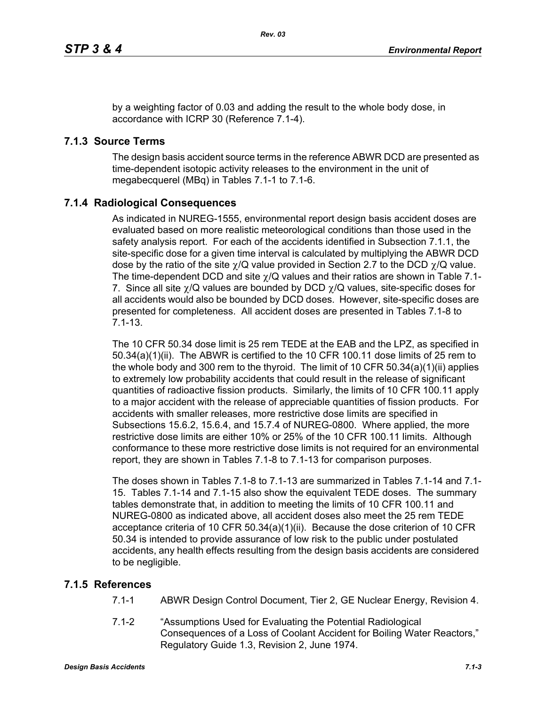by a weighting factor of 0.03 and adding the result to the whole body dose, in accordance with ICRP 30 (Reference 7.1-4).

# **7.1.3 Source Terms**

The design basis accident source terms in the reference ABWR DCD are presented as time-dependent isotopic activity releases to the environment in the unit of megabecquerel (MBq) in Tables 7.1-1 to 7.1-6.

## **7.1.4 Radiological Consequences**

As indicated in NUREG-1555, environmental report design basis accident doses are evaluated based on more realistic meteorological conditions than those used in the safety analysis report. For each of the accidents identified in Subsection 7.1.1, the site-specific dose for a given time interval is calculated by multiplying the ABWR DCD dose by the ratio of the site  $\chi$ /Q value provided in Section 2.7 to the DCD  $\chi$ /Q value. The time-dependent DCD and site  $\gamma$ /Q values and their ratios are shown in Table 7.1-7. Since all site  $\chi$ /Q values are bounded by DCD  $\chi$ /Q values, site-specific doses for all accidents would also be bounded by DCD doses. However, site-specific doses are presented for completeness. All accident doses are presented in Tables 7.1-8 to 7.1-13.

The 10 CFR 50.34 dose limit is 25 rem TEDE at the EAB and the LPZ, as specified in 50.34(a)(1)(ii). The ABWR is certified to the 10 CFR 100.11 dose limits of 25 rem to the whole body and 300 rem to the thyroid. The limit of 10 CFR 50.34(a)(1)(ii) applies to extremely low probability accidents that could result in the release of significant quantities of radioactive fission products. Similarly, the limits of 10 CFR 100.11 apply to a major accident with the release of appreciable quantities of fission products. For accidents with smaller releases, more restrictive dose limits are specified in Subsections 15.6.2, 15.6.4, and 15.7.4 of NUREG-0800. Where applied, the more restrictive dose limits are either 10% or 25% of the 10 CFR 100.11 limits. Although conformance to these more restrictive dose limits is not required for an environmental report, they are shown in Tables 7.1-8 to 7.1-13 for comparison purposes.

The doses shown in Tables 7.1-8 to 7.1-13 are summarized in Tables 7.1-14 and 7.1- 15. Tables 7.1-14 and 7.1-15 also show the equivalent TEDE doses. The summary tables demonstrate that, in addition to meeting the limits of 10 CFR 100.11 and NUREG-0800 as indicated above, all accident doses also meet the 25 rem TEDE acceptance criteria of 10 CFR 50.34(a)(1)(ii). Because the dose criterion of 10 CFR 50.34 is intended to provide assurance of low risk to the public under postulated accidents, any health effects resulting from the design basis accidents are considered to be negligible.

## **7.1.5 References**

- 7.1-1 ABWR Design Control Document, Tier 2, GE Nuclear Energy, Revision 4.
- 7.1-2 "Assumptions Used for Evaluating the Potential Radiological Consequences of a Loss of Coolant Accident for Boiling Water Reactors," Regulatory Guide 1.3, Revision 2, June 1974.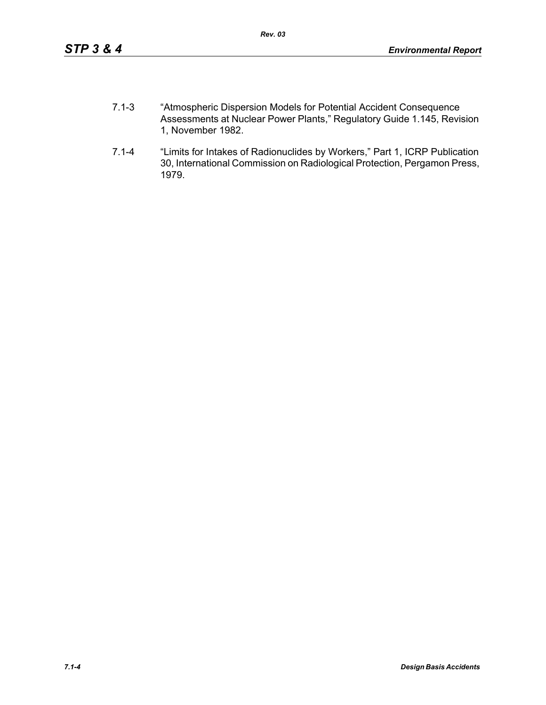- 7.1-3 "Atmospheric Dispersion Models for Potential Accident Consequence Assessments at Nuclear Power Plants," Regulatory Guide 1.145, Revision 1, November 1982.
- 7.1-4 "Limits for Intakes of Radionuclides by Workers," Part 1, ICRP Publication 30, International Commission on Radiological Protection, Pergamon Press, 1979.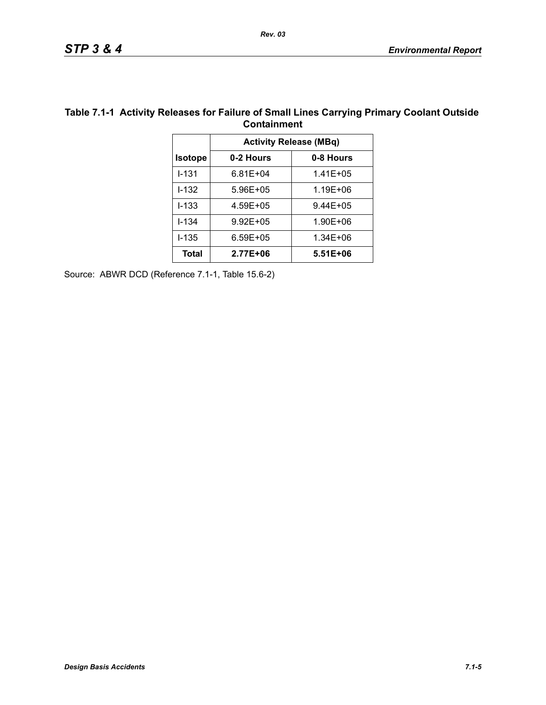|                               | Containment  |              |  |  |  |  |
|-------------------------------|--------------|--------------|--|--|--|--|
| <b>Activity Release (MBq)</b> |              |              |  |  |  |  |
| <b>Isotope</b>                | 0-2 Hours    | 0-8 Hours    |  |  |  |  |
| $1 - 131$                     | $6.81E + 04$ | 1.41E+05     |  |  |  |  |
| $1 - 132$                     | 5.96E+05     | 1.19E+06     |  |  |  |  |
| $I - 133$                     | 4.59E+05     | $9.44E + 05$ |  |  |  |  |
| $I - 134$                     | $9.92E + 05$ | 1.90E+06     |  |  |  |  |
| $1 - 135$                     | $6.59E + 05$ | 1.34E+06     |  |  |  |  |
| Total                         | 2.77E+06     | 5.51E+06     |  |  |  |  |
|                               |              |              |  |  |  |  |

#### **Table 7.1-1 Activity Releases for Failure of Small Lines Carrying Primary Coolant Outside Containment**

Source: ABWR DCD (Reference 7.1-1, Table 15.6-2)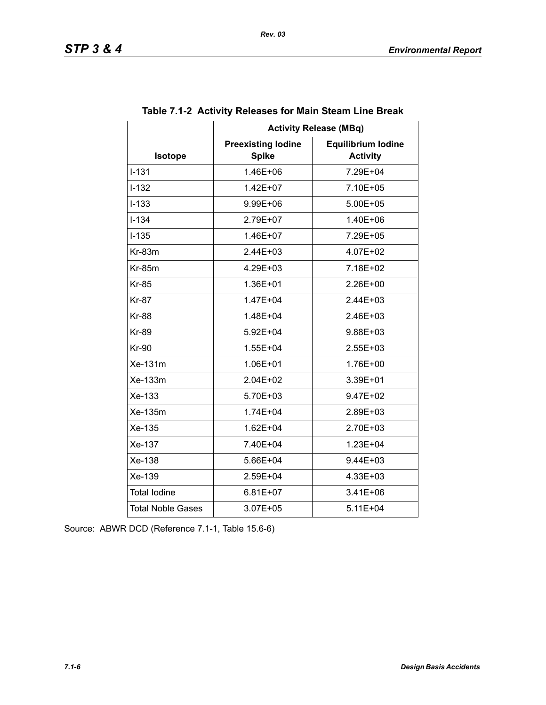|                          | <b>Activity Release (MBq)</b>             |                                              |  |  |  |  |
|--------------------------|-------------------------------------------|----------------------------------------------|--|--|--|--|
| Isotope                  | <b>Preexisting lodine</b><br><b>Spike</b> | <b>Equilibrium lodine</b><br><b>Activity</b> |  |  |  |  |
| $I - 131$                | 1.46E+06                                  | 7.29E+04                                     |  |  |  |  |
| $I - 132$                | 1.42E+07                                  | 7.10E+05                                     |  |  |  |  |
| $I-133$                  | 9.99E+06                                  | 5.00E+05                                     |  |  |  |  |
| $I - 134$                | 2.79E+07                                  | 1.40E+06                                     |  |  |  |  |
| $I-135$                  | 1.46E+07                                  | 7.29E+05                                     |  |  |  |  |
| $Kr-83m$                 | $2.44E + 03$                              | 4.07E+02                                     |  |  |  |  |
| <b>Kr-85m</b>            | 4.29E+03                                  | 7.18E+02                                     |  |  |  |  |
| <b>Kr-85</b>             | 1.36E+01                                  | 2.26E+00                                     |  |  |  |  |
| <b>Kr-87</b>             | 1.47E+04                                  | 2.44E+03                                     |  |  |  |  |
| <b>Kr-88</b>             | 1.48E+04                                  | $2.46E + 03$                                 |  |  |  |  |
| <b>Kr-89</b>             | 5.92E+04                                  | 9.88E+03                                     |  |  |  |  |
| <b>Kr-90</b>             | 1.55E+04                                  | 2.55E+03                                     |  |  |  |  |
| Xe-131m                  | 1.06E+01                                  | 1.76E+00                                     |  |  |  |  |
| Xe-133m                  | $2.04E + 02$                              | 3.39E+01                                     |  |  |  |  |
| Xe-133                   | 5.70E+03                                  | 9.47E+02                                     |  |  |  |  |
| Xe-135m                  | 1.74E+04                                  | 2.89E+03                                     |  |  |  |  |
| Xe-135                   | 1.62E+04                                  | 2.70E+03                                     |  |  |  |  |
| Xe-137                   | 7.40E+04                                  | 1.23E+04                                     |  |  |  |  |
| Xe-138                   | 5.66E+04                                  | 9.44E+03                                     |  |  |  |  |
| Xe-139                   | 2.59E+04                                  | 4.33E+03                                     |  |  |  |  |
| <b>Total lodine</b>      | $6.81E+07$                                | 3.41E+06                                     |  |  |  |  |
| <b>Total Noble Gases</b> | 3.07E+05                                  | 5.11E+04                                     |  |  |  |  |

### **Table 7.1-2 Activity Releases for Main Steam Line Break**

Source: ABWR DCD (Reference 7.1-1, Table 15.6-6)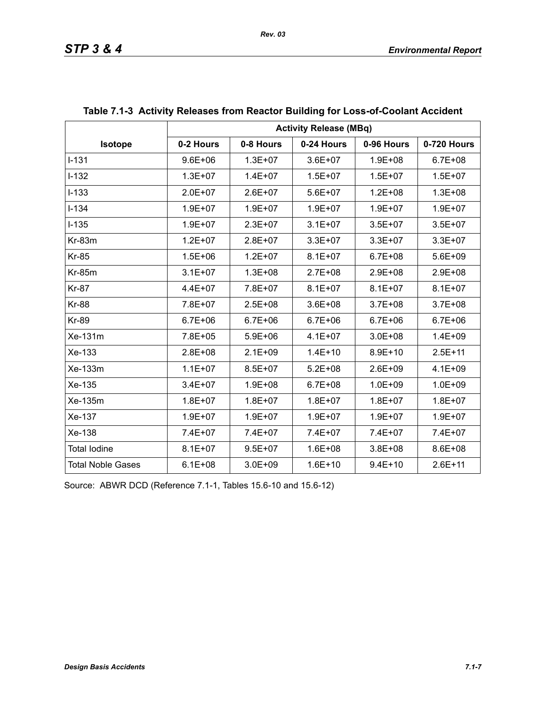|                     | <b>Activity Release (MBq)</b> |             |             |             |             |  |
|---------------------|-------------------------------|-------------|-------------|-------------|-------------|--|
| Isotope             | 0-2 Hours                     | 0-8 Hours   | 0-24 Hours  | 0-96 Hours  | 0-720 Hours |  |
| $I-131$             | $9.6E + 06$                   | $1.3E + 07$ | $3.6E + 07$ | $1.9E + 08$ | $6.7E + 08$ |  |
| $I-132$             | $1.3E + 07$                   | $1.4E + 07$ | $1.5E + 07$ | $1.5E + 07$ | $1.5E + 07$ |  |
| $I-133$             | $2.0E + 07$                   | $2.6E+07$   | $5.6E+07$   | $1.2E + 08$ | $1.3E + 08$ |  |
| $I - 134$           | $1.9E + 07$                   | $1.9E + 07$ | $1.9E + 07$ | $1.9E + 07$ | $1.9E + 07$ |  |
| $I-135$             | $1.9E + 07$                   | $2.3E + 07$ | $3.1E + 07$ | $3.5E + 07$ | $3.5E + 07$ |  |
| Kr-83m              | $1.2E + 07$                   | $2.8E + 07$ | $3.3E + 07$ | $3.3E + 07$ | $3.3E + 07$ |  |
| <b>Kr-85</b>        | $1.5E + 06$                   | $1.2E + 07$ | $8.1E + 07$ | $6.7E + 08$ | $5.6E + 09$ |  |
| <b>Kr-85m</b>       | $3.1E + 07$                   | $1.3E + 08$ | 2.7E+08     | $2.9E + 08$ | 2.9E+08     |  |
| <b>Kr-87</b>        | 4.4E+07                       | 7.8E+07     | $8.1E + 07$ | $8.1E + 07$ | $8.1E + 07$ |  |
| <b>Kr-88</b>        | 7.8E+07                       | $2.5E + 08$ | $3.6E + 08$ | $3.7E + 08$ | $3.7E + 08$ |  |
| <b>Kr-89</b>        | $6.7E + 06$                   | $6.7E + 06$ | $6.7E + 06$ | $6.7E + 06$ | $6.7E + 06$ |  |
| Xe-131m             | 7.8E+05                       | $5.9E + 06$ | $4.1E + 07$ | $3.0E + 08$ | $1.4E + 09$ |  |
| Xe-133              | $2.8E + 08$                   | $2.1E + 09$ | $1.4E + 10$ | $8.9E + 10$ | $2.5E + 11$ |  |
| Xe-133m             | $1.1E + 07$                   | $8.5E + 07$ | $5.2E + 08$ | $2.6E + 09$ | $4.1E + 09$ |  |
| Xe-135              | $3.4E + 07$                   | $1.9E + 08$ | $6.7E + 08$ | $1.0E + 09$ | $1.0E + 09$ |  |
| Xe-135m             | $1.8E + 07$                   | $1.8E + 07$ | $1.8E + 07$ | $1.8E + 07$ | $1.8E + 07$ |  |
| Xe-137              | $1.9E + 07$                   | $1.9E + 07$ | $1.9E + 07$ | $1.9E + 07$ | 1.9E+07     |  |
| Xe-138              | 7.4E+07                       | 7.4E+07     | 7.4E+07     | 7.4E+07     | 7.4E+07     |  |
| <b>Total lodine</b> | $8.1E + 07$                   | $9.5E + 07$ | $1.6E + 08$ | $3.8E + 08$ | 8.6E+08     |  |
| Total Noble Gases   | $6.1E + 08$                   | $3.0E + 09$ | $1.6E + 10$ | $9.4E + 10$ | $2.6E + 11$ |  |

## **Table 7.1-3 Activity Releases from Reactor Building for Loss-of-Coolant Accident**

Source: ABWR DCD (Reference 7.1-1, Tables 15.6-10 and 15.6-12)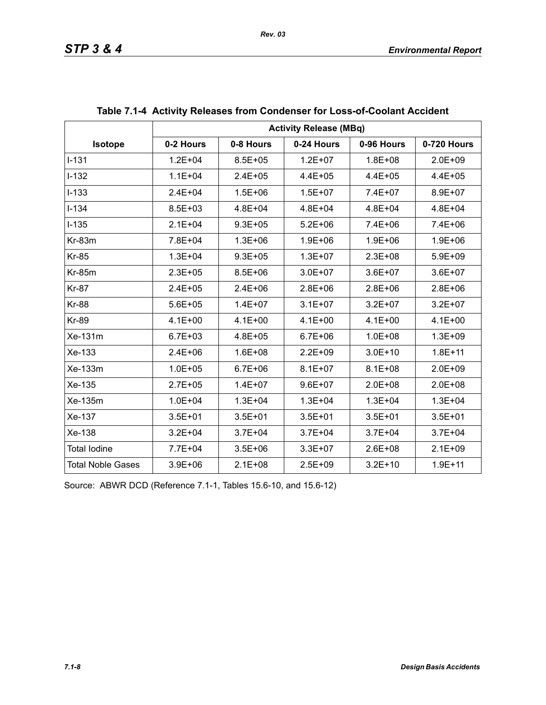|                          | <b>Activity Release (MBq)</b> |             |             |             |             |  |
|--------------------------|-------------------------------|-------------|-------------|-------------|-------------|--|
| <b>Isotope</b>           | 0-2 Hours                     | 0-8 Hours   | 0-24 Hours  | 0-96 Hours  | 0-720 Hours |  |
| $I - 131$                | $1.2E + 04$                   | $8.5E + 05$ | $1.2E + 07$ | $1.8E + 08$ | $2.0E + 09$ |  |
| $I-132$                  | $1.1E + 04$                   | $2.4E + 05$ | $4.4E + 05$ | $4.4E + 05$ | $4.4E + 05$ |  |
| $I-133$                  | $2.4E + 04$                   | $1.5E + 06$ | $1.5E + 07$ | 7.4E+07     | 8.9E+07     |  |
| $I - 134$                | $8.5E + 03$                   | $4.8E + 04$ | $4.8E + 04$ | $4.8E + 04$ | $4.8E + 04$ |  |
| $I-135$                  | $2.1E + 04$                   | $9.3E + 05$ | $5.2E + 06$ | 7.4E+06     | 7.4E+06     |  |
| $Kr-83m$                 | 7.8E+04                       | $1.3E + 06$ | $1.9E + 06$ | $1.9E + 06$ | $1.9E + 06$ |  |
| <b>Kr-85</b>             | $1.3E + 04$                   | $9.3E + 05$ | $1.3E + 07$ | $2.3E + 08$ | $5.9E + 09$ |  |
| <b>Kr-85m</b>            | $2.3E + 05$                   | $8.5E + 06$ | $3.0E + 07$ | $3.6E + 07$ | $3.6E + 07$ |  |
| <b>Kr-87</b>             | $2.4E + 05$                   | $2.4E + 06$ | $2.8E + 06$ | $2.8E + 06$ | $2.8E + 06$ |  |
| <b>Kr-88</b>             | $5.6E + 05$                   | $1.4E + 07$ | $3.1E + 07$ | $3.2E + 07$ | $3.2E + 07$ |  |
| <b>Kr-89</b>             | $4.1E + 00$                   | $4.1E + 00$ | $4.1E + 00$ | $4.1E + 00$ | $4.1E + 00$ |  |
| Xe-131m                  | $6.7E + 03$                   | $4.8E + 05$ | $6.7E + 06$ | $1.0E + 08$ | $1.3E + 09$ |  |
| Xe-133                   | $2.4E + 06$                   | $1.6E + 08$ | $2.2E + 09$ | $3.0E + 10$ | $1.8E + 11$ |  |
| Xe-133m                  | $1.0E + 05$                   | $6.7E + 06$ | $8.1E + 07$ | $8.1E + 08$ | $2.0E + 09$ |  |
| Xe-135                   | $2.7E + 05$                   | $1.4E + 07$ | $9.6E + 07$ | $2.0E + 08$ | $2.0E + 08$ |  |
| Xe-135m                  | $1.0E + 04$                   | $1.3E + 04$ | $1.3E + 04$ | $1.3E + 04$ | $1.3E + 04$ |  |
| Xe-137                   | $3.5E + 01$                   | $3.5E + 01$ | $3.5E + 01$ | $3.5E + 01$ | $3.5E + 01$ |  |
| Xe-138                   | $3.2E + 04$                   | $3.7E + 04$ | $3.7E + 04$ | $3.7E + 04$ | $3.7E + 04$ |  |
| <b>Total lodine</b>      | 7.7E+04                       | $3.5E + 06$ | $3.3E + 07$ | $2.6E + 08$ | $2.1E + 09$ |  |
| <b>Total Noble Gases</b> | $3.9E + 06$                   | $2.1E + 08$ | $2.5E + 09$ | $3.2E + 10$ | $1.9E + 11$ |  |

| Table 7.1-4 Activity Releases from Condenser for Loss-of-Coolant Accident |  |  |
|---------------------------------------------------------------------------|--|--|
|                                                                           |  |  |

Source: ABWR DCD (Reference 7.1-1, Tables 15.6-10, and 15.6-12)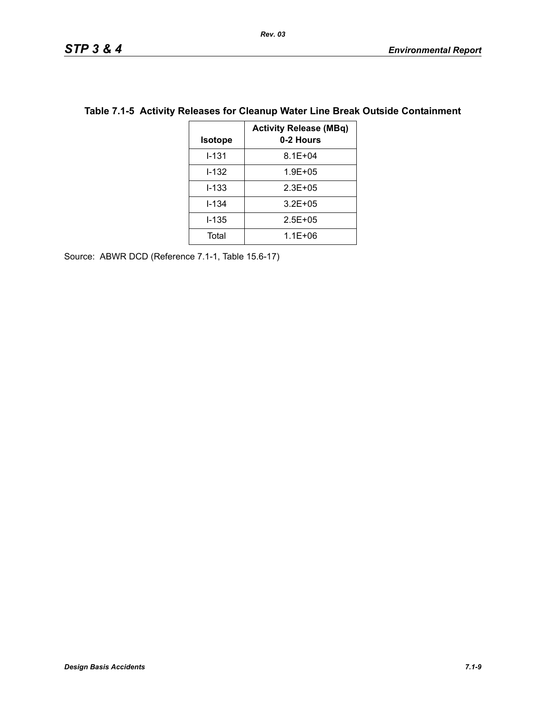| <b>Isotope</b> | <b>Activity Release (MBq)</b><br>0-2 Hours |
|----------------|--------------------------------------------|
| $1 - 131$      | $8.1E + 04$                                |
| I-132          | $1.9E + 0.5$                               |
| $1 - 133$      | $2.3E + 0.5$                               |
| $1 - 134$      | $3.2E + 0.5$                               |
| $1 - 135$      | $2.5E + 0.5$                               |
| Total          | $1.1E + 06$                                |

## **Table 7.1-5 Activity Releases for Cleanup Water Line Break Outside Containment**

Source: ABWR DCD (Reference 7.1-1, Table 15.6-17)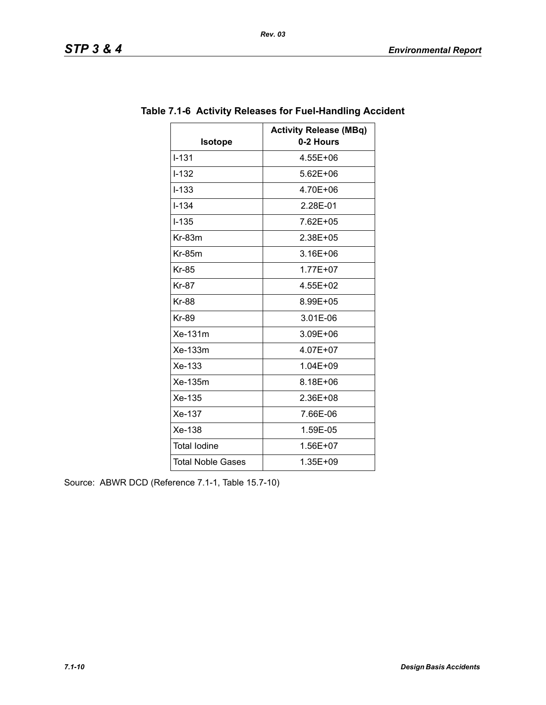| Isotope                  | <b>Activity Release (MBq)</b><br>0-2 Hours |
|--------------------------|--------------------------------------------|
| $I - 131$                | 4.55E+06                                   |
| $I - 132$                | $5.62E + 06$                               |
|                          |                                            |
| $I - 133$                | 4.70E+06                                   |
| $1 - 1.34$               | 2.28E-01                                   |
| $I - 135$                | 7.62E+05                                   |
| $Kr-83m$                 | 2.38E+05                                   |
| $Kr-85m$                 | 3.16E+06                                   |
| <b>Kr-85</b>             | $1.77E + 07$                               |
| <b>Kr-87</b>             | 4.55E+02                                   |
| <b>Kr-88</b>             | 8.99E+05                                   |
| <b>Kr-89</b>             | 3.01E-06                                   |
| Xe-131m                  | 3.09E+06                                   |
| Xe-133m                  | 4.07E+07                                   |
| Xe-133                   | 1.04E+09                                   |
| Xe-135m                  | 8.18E+06                                   |
| Xe-135                   | 2.36E+08                                   |
| Xe-137                   | 7.66E-06                                   |
| Xe-138                   | 1.59E-05                                   |
| <b>Total lodine</b>      | 1.56E+07                                   |
| <b>Total Noble Gases</b> | 1.35E+09                                   |

# **Table 7.1-6 Activity Releases for Fuel-Handling Accident**

Source: ABWR DCD (Reference 7.1-1, Table 15.7-10)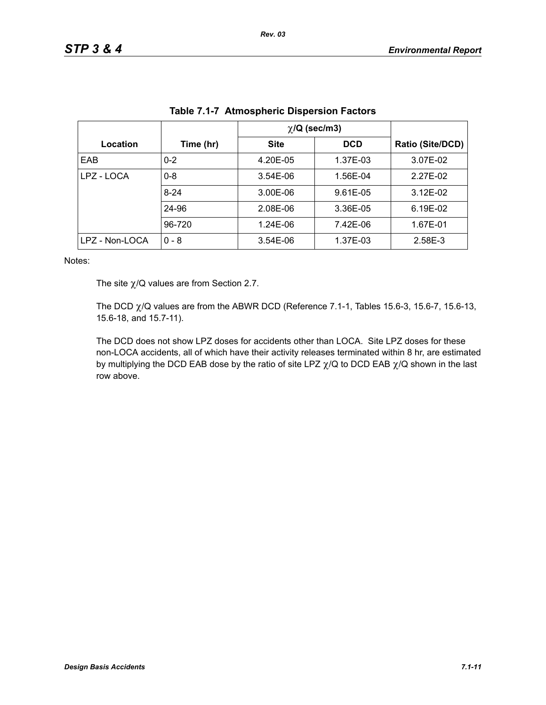|                |           | $\chi$ /Q (sec/m3) |            |                  |
|----------------|-----------|--------------------|------------|------------------|
| Location       | Time (hr) | <b>Site</b>        | <b>DCD</b> | Ratio (Site/DCD) |
| EAB            | $0 - 2$   | 4.20E-05           | 1.37E-03   | 3.07E-02         |
| LPZ - LOCA     | $0 - 8$   | 3.54E-06           | 1.56E-04   | 2.27E-02         |
|                | $8 - 24$  | 3.00E-06           | 9.61E-05   | $3.12E-02$       |
|                | 24-96     | 2.08E-06           | 3.36E-05   | 6.19E-02         |
|                | 96-720    | 1.24E-06           | 7.42E-06   | 1.67E-01         |
| LPZ - Non-LOCA | $0 - 8$   | 3.54E-06           | 1.37E-03   | 2.58E-3          |

| Table 7.1-7 Atmospheric Dispersion Factors |  |  |  |
|--------------------------------------------|--|--|--|
|                                            |  |  |  |

Notes:

The site  $\chi$ /Q values are from Section 2.7.

The DCD  $\chi$ /Q values are from the ABWR DCD (Reference 7.1-1, Tables 15.6-3, 15.6-7, 15.6-13, 15.6-18, and 15.7-11).

The DCD does not show LPZ doses for accidents other than LOCA. Site LPZ doses for these non-LOCA accidents, all of which have their activity releases terminated within 8 hr, are estimated by multiplying the DCD EAB dose by the ratio of site LPZ  $\chi$ /Q to DCD EAB  $\chi$ /Q shown in the last row above.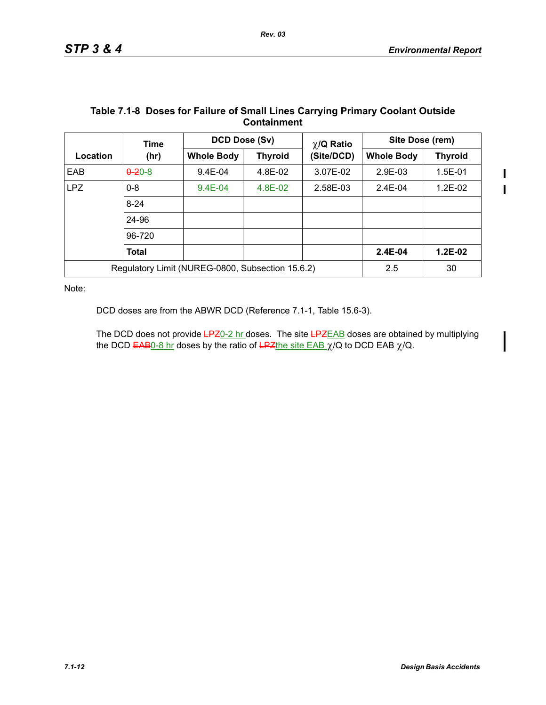|                                                  | Time         | DCD Dose (Sv)     |                | $\chi$ /Q Ratio | Site Dose (rem)   |                |
|--------------------------------------------------|--------------|-------------------|----------------|-----------------|-------------------|----------------|
| Location                                         | (hr)         | <b>Whole Body</b> | <b>Thyroid</b> | (Site/DCD)      | <b>Whole Body</b> | <b>Thyroid</b> |
| EAB                                              | $0 - 20 - 8$ | 9.4E-04           | 4.8E-02        | 3.07E-02        | $2.9E-03$         | $1.5E - 01$    |
| LPZ                                              | $0 - 8$      | $9.4E - 04$       | 4.8E-02        | 2.58E-03        | $2.4E - 04$       | $1.2E-02$      |
|                                                  | $8 - 24$     |                   |                |                 |                   |                |
|                                                  | 24-96        |                   |                |                 |                   |                |
|                                                  | 96-720       |                   |                |                 |                   |                |
|                                                  | <b>Total</b> |                   |                |                 | $2.4E-04$         | $1.2E-02$      |
| Regulatory Limit (NUREG-0800, Subsection 15.6.2) |              |                   | 2.5            | 30              |                   |                |

#### **Table 7.1-8 Doses for Failure of Small Lines Carrying Primary Coolant Outside Containment**

Note:

DCD doses are from the ABWR DCD (Reference 7.1-1, Table 15.6-3).

The DCD does not provide LPZ0-2 hr doses. The site LPZEAB doses are obtained by multiplying the DCD  $EAB0-8$  hr doses by the ratio of  $EPE$ the site  $EAB \chi/Q$  to DCD EAB  $\chi/Q$ .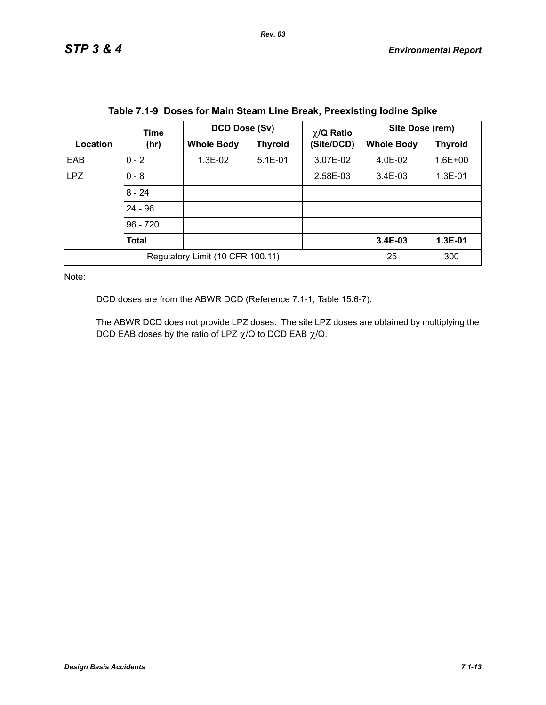|                                  | Time         | DCD Dose (Sv)     |                | $\chi$ /Q Ratio | Site Dose (rem)   |                |
|----------------------------------|--------------|-------------------|----------------|-----------------|-------------------|----------------|
| Location                         | (hr)         | <b>Whole Body</b> | <b>Thyroid</b> | (Site/DCD)      | <b>Whole Body</b> | <b>Thyroid</b> |
| EAB                              | $0 - 2$      | 1.3E-02           | $5.1E-01$      | 3.07E-02        | 4.0E-02           | $1.6E + 00$    |
| <b>LPZ</b>                       | $0 - 8$      |                   |                | 2.58E-03        | $3.4E-03$         | 1.3E-01        |
|                                  | $8 - 24$     |                   |                |                 |                   |                |
|                                  | $24 - 96$    |                   |                |                 |                   |                |
|                                  | $96 - 720$   |                   |                |                 |                   |                |
|                                  | <b>Total</b> |                   |                |                 | 3.4E-03           | 1.3E-01        |
| Regulatory Limit (10 CFR 100.11) |              |                   |                | 25              | 300               |                |

| Table 7.1-9 Doses for Main Steam Line Break, Preexisting lodine Spike |  |  |  |  |  |  |  |  |
|-----------------------------------------------------------------------|--|--|--|--|--|--|--|--|
|-----------------------------------------------------------------------|--|--|--|--|--|--|--|--|

Note:

DCD doses are from the ABWR DCD (Reference 7.1-1, Table 15.6-7).

The ABWR DCD does not provide LPZ doses. The site LPZ doses are obtained by multiplying the DCD EAB doses by the ratio of LPZ  $\chi$ /Q to DCD EAB  $\chi$ /Q.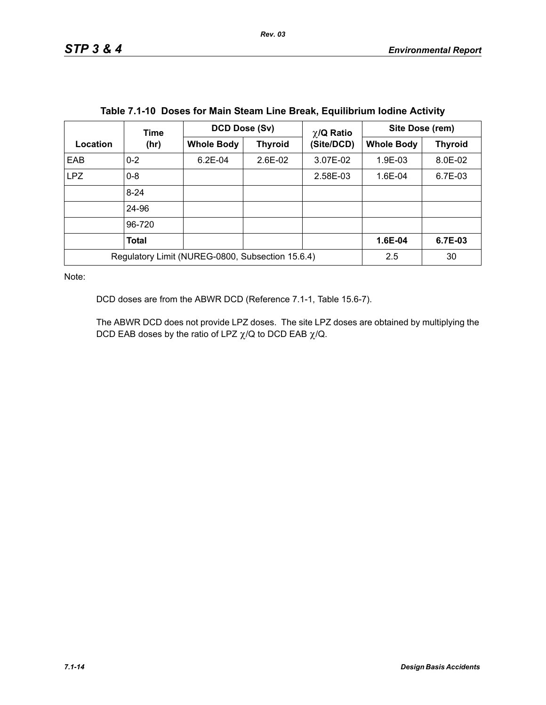|            | Time                                             | DCD Dose (Sv)     |                | $\chi$ /Q Ratio | Site Dose (rem)   |                |  |
|------------|--------------------------------------------------|-------------------|----------------|-----------------|-------------------|----------------|--|
| Location   | (hr)                                             | <b>Whole Body</b> | <b>Thyroid</b> | (Site/DCD)      | <b>Whole Body</b> | <b>Thyroid</b> |  |
| EAB        | $0 - 2$                                          | $6.2E - 04$       | $2.6E-02$      | 3.07E-02        | 1.9E-03           | 8.0E-02        |  |
| <b>LPZ</b> | $0 - 8$                                          |                   |                | 2.58E-03        | 1.6E-04           | 6.7E-03        |  |
|            | $8 - 24$                                         |                   |                |                 |                   |                |  |
|            | 24-96                                            |                   |                |                 |                   |                |  |
|            | 96-720                                           |                   |                |                 |                   |                |  |
|            | Total                                            |                   |                |                 | 1.6E-04           | 6.7E-03        |  |
|            | Regulatory Limit (NUREG-0800, Subsection 15.6.4) | 2.5               | 30             |                 |                   |                |  |

| Table 7.1-10 Doses for Main Steam Line Break, Equilibrium Iodine Activity |  |  |  |  |  |
|---------------------------------------------------------------------------|--|--|--|--|--|
|---------------------------------------------------------------------------|--|--|--|--|--|

Note:

DCD doses are from the ABWR DCD (Reference 7.1-1, Table 15.6-7).

The ABWR DCD does not provide LPZ doses. The site LPZ doses are obtained by multiplying the DCD EAB doses by the ratio of LPZ  $\chi$ /Q to DCD EAB  $\chi$ /Q.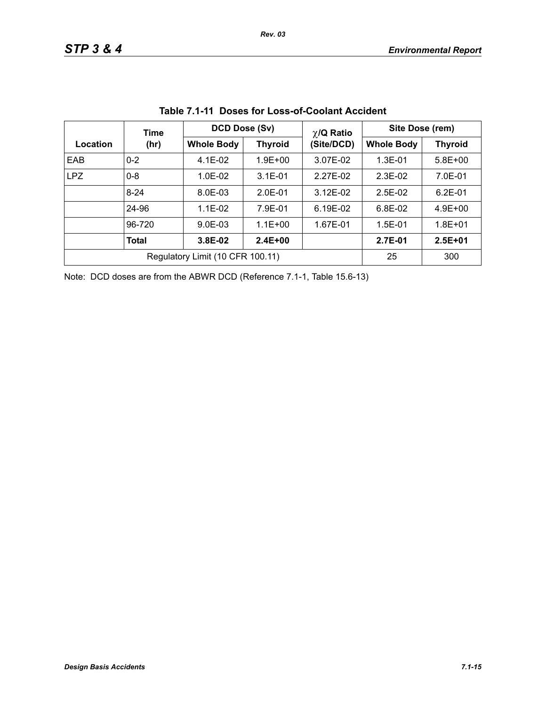|            | Time                             | DCD Dose (Sv)                       |             | $\chi$ /Q Ratio | Site Dose (rem)   |                |  |
|------------|----------------------------------|-------------------------------------|-------------|-----------------|-------------------|----------------|--|
| Location   | (hr)                             | <b>Whole Body</b><br><b>Thyroid</b> |             | (Site/DCD)      | <b>Whole Body</b> | <b>Thyroid</b> |  |
| EAB        | $0 - 2$                          | $4.1E-02$                           | $1.9E + 00$ | 3.07E-02        | $1.3E - 01$       | $5.8E + 00$    |  |
| <b>LPZ</b> | $0 - 8$                          | $1.0F - 02$                         | $3.1E - 01$ | 2.27E-02        | $2.3F-02$         | 7.0E-01        |  |
|            | $8 - 24$                         | 8.0E-03                             | $2.0E-01$   | $3.12E - 02$    | $2.5E-02$         | $6.2E - 01$    |  |
|            | 24-96                            | $1.1E - 02$                         | 7.9E-01     | 6.19E-02        | $6.8E-02$         | $4.9E + 00$    |  |
|            | 96-720                           | $9.0E - 03$                         | $1.1E + 00$ | 1.67E-01        | $1.5E-01$         | $1.8E + 01$    |  |
|            | <b>Total</b>                     | 3.8E-02                             | $2.4E + 00$ |                 | 2.7E-01           | $2.5E + 01$    |  |
|            | Regulatory Limit (10 CFR 100.11) | 25                                  | 300         |                 |                   |                |  |

**Table 7.1-11 Doses for Loss-of-Coolant Accident**

Note: DCD doses are from the ABWR DCD (Reference 7.1-1, Table 15.6-13)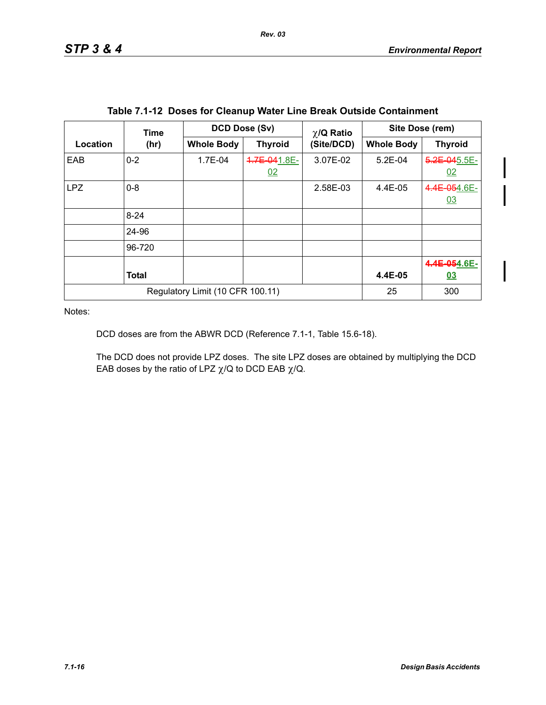Ι

|            | Time                             | DCD Dose (Sv)     |                    | $\chi$ /Q Ratio | Site Dose (rem)   |                    |
|------------|----------------------------------|-------------------|--------------------|-----------------|-------------------|--------------------|
| Location   | (hr)                             | <b>Whole Body</b> | <b>Thyroid</b>     | (Site/DCD)      | <b>Whole Body</b> | <b>Thyroid</b>     |
| EAB        | $0 - 2$                          | 1.7E-04           | 4.7E-041.8E-<br>02 | 3.07E-02        | $5.2E-04$         | 5.2E-045.5E-<br>02 |
| <b>LPZ</b> | $0 - 8$                          |                   |                    | 2.58E-03        | 4.4E-05           | 4.4E-054.6E-<br>03 |
|            | $8 - 24$                         |                   |                    |                 |                   |                    |
|            | 24-96                            |                   |                    |                 |                   |                    |
|            | 96-720                           |                   |                    |                 |                   |                    |
|            |                                  |                   |                    |                 |                   | 4.4E-054.6E-       |
|            | <b>Total</b>                     |                   |                    |                 | 4.4E-05           | <u>03</u>          |
|            | Regulatory Limit (10 CFR 100.11) | 25                | 300                |                 |                   |                    |

|  |  |  | Table 7.1-12 Doses for Cleanup Water Line Break Outside Containment |
|--|--|--|---------------------------------------------------------------------|
|--|--|--|---------------------------------------------------------------------|

Notes:

DCD doses are from the ABWR DCD (Reference 7.1-1, Table 15.6-18).

The DCD does not provide LPZ doses. The site LPZ doses are obtained by multiplying the DCD EAB doses by the ratio of LPZ  $\chi$ /Q to DCD EAB  $\chi$ /Q.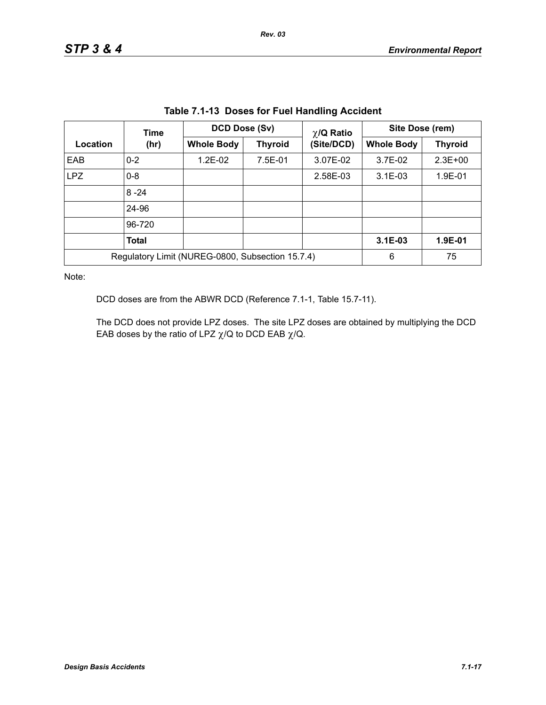| Table 7.1-13 Doses for Fuel Handling Accident |              |                                                  |                |                 |                   |                |  |  |  |
|-----------------------------------------------|--------------|--------------------------------------------------|----------------|-----------------|-------------------|----------------|--|--|--|
| Location                                      | Time         | <b>DCD Dose (Sv)</b>                             |                | $\chi$ /Q Ratio | Site Dose (rem)   |                |  |  |  |
|                                               | (hr)         | <b>Whole Body</b>                                | <b>Thyroid</b> | (Site/DCD)      | <b>Whole Body</b> | <b>Thyroid</b> |  |  |  |
| EAB                                           | $0 - 2$      | $1.2E-02$                                        | 7.5E-01        | 3.07E-02        | 3.7E-02           | $2.3E + 00$    |  |  |  |
| LPZ                                           | $0 - 8$      |                                                  |                | 2.58E-03        | $3.1E-03$         | 1.9E-01        |  |  |  |
|                                               | $8 - 24$     |                                                  |                |                 |                   |                |  |  |  |
|                                               | 24-96        |                                                  |                |                 |                   |                |  |  |  |
|                                               | 96-720       |                                                  |                |                 |                   |                |  |  |  |
|                                               | <b>Total</b> |                                                  |                |                 | $3.1E-03$         | 1.9E-01        |  |  |  |
|                                               |              | Regulatory Limit (NUREG-0800, Subsection 15.7.4) |                |                 | 6                 | 75             |  |  |  |

**Table 7.1-13 Doses for Fuel Handling Accident**

Note:

DCD doses are from the ABWR DCD (Reference 7.1-1, Table 15.7-11).

The DCD does not provide LPZ doses. The site LPZ doses are obtained by multiplying the DCD EAB doses by the ratio of LPZ  $\chi$ /Q to DCD EAB  $\chi$ /Q.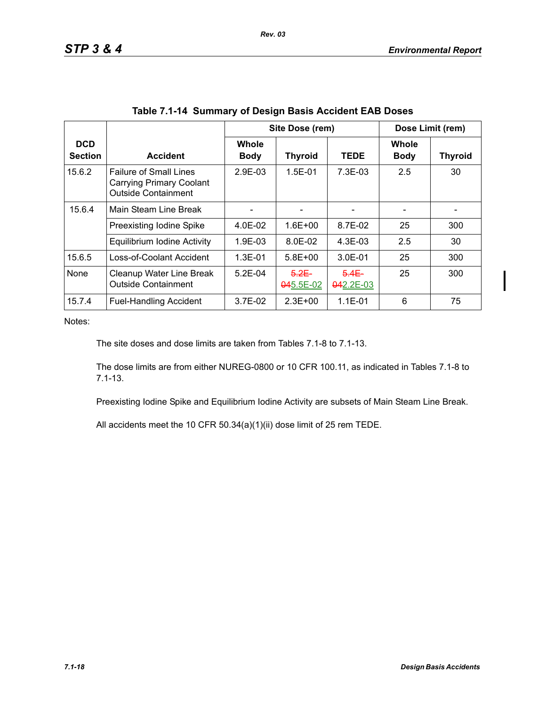|                              |                                                                                                |                             | Site Dose (rem)       |                       |                      | Dose Limit (rem) |
|------------------------------|------------------------------------------------------------------------------------------------|-----------------------------|-----------------------|-----------------------|----------------------|------------------|
| <b>DCD</b><br><b>Section</b> | <b>Accident</b>                                                                                | <b>Whole</b><br><b>Body</b> | <b>Thyroid</b>        | <b>TEDE</b>           | Whole<br><b>Body</b> | <b>Thyroid</b>   |
| 15.6.2                       | <b>Failure of Small Lines</b><br><b>Carrying Primary Coolant</b><br><b>Outside Containment</b> | $2.9F-0.3$                  | $1.5E - 01$           | $7.3F-0.3$            | 2.5                  | 30               |
| 15.6.4                       | Main Steam Line Break                                                                          |                             |                       |                       |                      |                  |
|                              | <b>Preexisting lodine Spike</b>                                                                | 4.0E-02                     | $1.6E + 00$           | 8.7E-02               | 25                   | 300              |
|                              | Equilibrium Iodine Activity                                                                    | 1.9E-03                     | 8.0E-02               | $4.3E-03$             | 2.5                  | 30               |
| 15.6.5                       | Loss-of-Coolant Accident                                                                       | $1.3E - 01$                 | $5.8E + 00$           | $3.0F - 01$           | 25                   | 300              |
| None                         | Cleanup Water Line Break<br><b>Outside Containment</b>                                         | $5.2F-04$                   | $5.2E -$<br>045.5E-02 | $5.4E -$<br>042.2E-03 | 25                   | 300              |
| 15.7.4                       | <b>Fuel-Handling Accident</b>                                                                  | $3.7E-02$                   | $2.3E + 00$           | $1.1E - 01$           | 6                    | 75               |

Notes:

The site doses and dose limits are taken from Tables 7.1-8 to 7.1-13.

The dose limits are from either NUREG-0800 or 10 CFR 100.11, as indicated in Tables 7.1-8 to 7.1-13.

Preexisting Iodine Spike and Equilibrium Iodine Activity are subsets of Main Steam Line Break.

All accidents meet the 10 CFR 50.34(a)(1)(ii) dose limit of 25 rem TEDE.